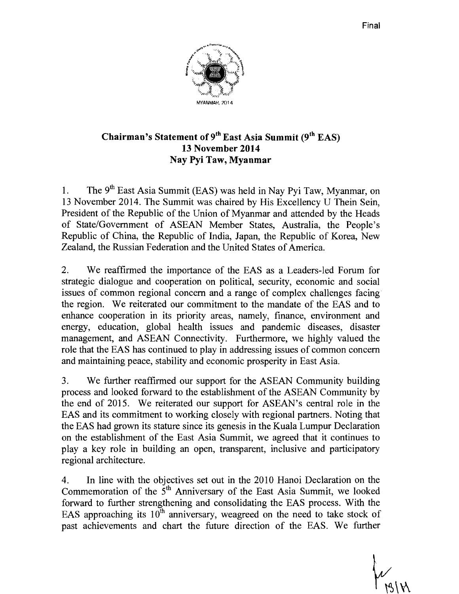

# Chairman's Statement of  $9<sup>th</sup>$  East Asia Summit ( $9<sup>th</sup>$  EAS) 13 November 2014 Nay Pyi Taw, Myanmar

1. The  $9<sup>th</sup>$  East Asia Summit (EAS) was held in Nay Pyi Taw, Myanmar, on 13 November 2014. The Summit was chaired by His Excellency U Thein Sein, President of the Republic of the Union of Myanmar and attended by the Heads of State/Government of ASEAN Member States, Australia, the People's Republic of China, the Republic of India, Japan, the Republic of Korea, New Zealand, the Russian Federation and the United States of America.

2. We reaffirmed the importance of the EAS as a Leaders-led Forum for strategic dialogue and cooperation on political, security, economic and social issues of common regional concern and a range of complex challenges facing the region. We reiterated our commitment to the mandate of the EAS and to enhance cooperation in its priority areas, namely, finance, environment and energy, education, global health issues and pandemic diseases, disaster management, and ASEAN Connectivity. Furthermore, we highly valued the role that the EAS has continued to play in addressing issues of common concern and maintaining peace, stability and economic prosperity in East Asia.

3. We further reaffirmed our support for the ASEAN Community building process and looked forward to the establishment of the ASEAN Community by the end of 2015. We reiterated our support for ASEAN's central role in the EAS and its commitment to working closely with regional partners. Noting that the EAS had grown its stature since its genesis in the Kuala Lumpur Declaration on the establishment of the East Asia Summit, we agreed that it continues to play a key role in building an open, transparent, inclusive and participatory regional architecture.

4. In line with the objectives set out in the 2010 Hanoi Declaration on the Commemoration of the  $5<sup>th</sup>$  Anniversary of the East Asia Summit, we looked forward to further strengthening and consolidating the EAS process. With the EAS approaching its  $10^{th}$  anniversary, weagreed on the need to take stock of past achievements and chart the future direction of the EAS. We further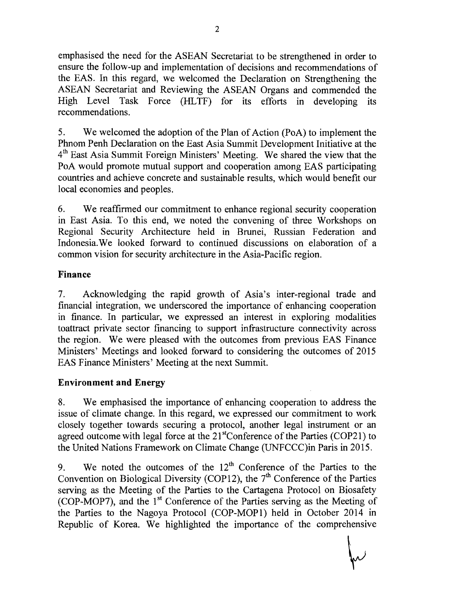emphasised the need for the ASEAN Secretariat to be strengthened in order to ensure the follow-up and implementation of decisions and recommendations of the EAS. In this regard, we welcomed the Declaration on Strengthening the ASEAN Secretariat and Reviewing the ASEAN Organs and commended the High Level Task Force (HLTF) for its efforts in developing its recommendations.

5. We welcomed the adoption of the Plan of Action (PoA) to implement the Phnom Penh Declaration on the East Asia Summit Development Initiative at the 4th East Asia Summit Foreign Ministers' Meeting. We shared the view that the PoA would promote mutual support and cooperation among EAS participating countries and achieve concrete and sustainable results, which would benefit our local economies and peoples.

6. We reaffirmed our commitment to enhance regional security cooperation in East Asia. To this end, we noted the convening of three Workshops on Regional Security Architecture held in Brunei, Russian Federation and Indonesia.We looked forward to continued discussions on elaboration of a common vision for security architecture in the Asia-Pacific region.

## **Finance**

7. Acknowledging the rapid growth of Asia's inter-regional trade and financial integration, we underscored the importance of enhancing cooperation in finance. In particular, we expressed an interest in exploring modalities toattract private sector financing to support infrastructure connectivity across the region. We were pleased with the outcomes from previous EAS Finance Ministers' Meetings and looked forward to considering the outcomes of 2015 EAS Finance Ministers' Meeting at the next Summit.

## **Environment and Energy**

8. We emphasised the importance of enhancing cooperation to address the issue of climate change. In this regard, we expressed our commitment to work closely together towards securing a protocol, another legal instrument or an agreed outcome with legal force at the  $21<sup>st</sup>$ Conference of the Parties (COP21) to the United Nations Framework on Climate Change (UNFCCC)in Paris in 2015.

9. We noted the outcomes of the  $12<sup>th</sup>$  Conference of the Parties to the Convention on Biological Diversity (COP12), the  $7<sup>th</sup>$  Conference of the Parties serving as the Meeting of the Parties to the Cartagena Protocol on Biosafety (COP-MOP7), and the  $1<sup>st</sup>$  Conference of the Parties serving as the Meeting of the Parties to the Nagoya Protocol (COP-MOP1) held in October 2014 in Republic of Korea. We highlighted the importance of the comprehensive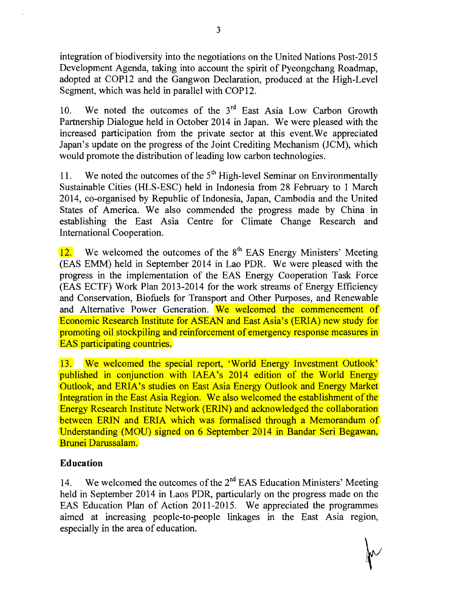integration of biodiversity into the negotiations on the United Nations Post-2015 Development Agenda, taking into account the spirit of Pyeongchang Roadmap, adopted at COP12 and the Gangwon Declaration, produced at the High-Level Segment, which was held in parallel with COP12.

10. We noted the outcomes of the  $3<sup>rd</sup>$  East Asia Low Carbon Growth Partnership Dialogue held in October 2014 in Japan. We were pleased with the increased participation from the private sector at this event.We appreciated Japan's update on the progress of the Joint Crediting Mechanism (JCM), which would promote the distribution of leading low carbon technologies.

11. We noted the outcomes of the  $5<sup>th</sup>$  High-level Seminar on Environmentally Sustainable Cities (HLS-ESC) held in Indonesia from 28 February to 1 March 2014, co-organised by Republic of Indonesia, Japan, Cambodia and the United States of America. We also commended the progress made by China in establishing the East Asia Centre for Climate Change Research and International Cooperation.

 $12.$  We welcomed the outcomes of the  $8<sup>th</sup>$  EAS Energy Ministers' Meeting (EAS EMM) held in September 2014 in Lao PDR. We were pleased with the progress in the implementation of the EAS Energy Cooperation Task Force (EAS ECTF) Work Plan 2013-2014 for the work streams of Energy Efficiency and Conservation, Biofuels for Transport and Other Purposes, and Renewable and Alternative Power Generation. We welcomed the commencement of Economic Research Institute for ASEAN and East Asia's (ERIA) new study for promoting oil stockpiling and reinforcement of emergency response measures in EAS participating countries.

13. We welcomed the special report, 'World Energy Investment Outlook' published in conjunction with IAEA's 2014 edition of the World Energy Outlook, and ERIA's studies on East Asia Energy Outlook and Energy Market Integration in the East Asia Region. We also welcomed the establishment of the Energy Research Institute Network (ERIN) and acknowledged the collaboration between ERIN and ERIA which was formalised through a Memorandum of Understanding (MOU) signed on 6 September 2014 in Bandar Seri Begawan, Brunei Darussalam.

## **Education**

14. We welcomed the outcomes of the  $2<sup>nd</sup>$  EAS Education Ministers' Meeting held in September 2014 in Laos PDR, particularly on the progress made on the EAS Education Plan of Action 2011-2015. We appreciated the programmes aimed at increasing people-to-people linkages in the East Asia region, especially in the area of education.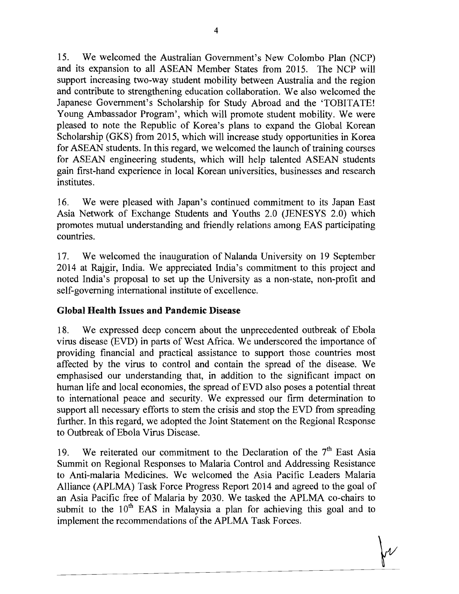15. We welcomed the Australian Government's New Colombo Plan (NCP) and its expansion to all ASEAN Member States from 2015. The NCP will support increasing two-way student mobility between Australia and the region and contribute to strengthening education collaboration. We also welcomed the Japanese Government's Scholarship for Study Abroad and the 'TOBITATE! Young Ambassador Program', which will promote student mobility. We were pleased to note the Republic of Korea's plans to expand the Global Korean Scholarship (GKS) from 2015, which will increase study opportunities in Korea for ASEAN students. In this regard, we welcomed the launch of training courses for ASEAN engineering students, which will help talented ASEAN students gain first-hand experience in local Korean universities, businesses and research institutes.

16. We were pleased with Japan's continued commitment to its Japan East Asia Network of Exchange Students and Youths 2.0 (JENESYS 2.0) which promotes mutual understanding and friendly relations among EAS participating countries.

17. We welcomed the inauguration of Nalanda University on 19 September 2014 at Rajgir, India. We appreciated India's commitment to this project and noted India's proposal to set up the University as a non-state, non-profit and self-governing international institute of excellence.

## **Global Health Issues and Pandemic Disease**

18. We expressed deep concern about the unprecedented outbreak of Ebola virus disease (EVD) in parts of West Africa. We underscored the importance of providing financial and practical assistance to support those countries most affected by the virus to control and contain the spread of the disease. We emphasised our understanding that, in addition to the significant impact on human life and local economies, the spread of EVD also poses a potential threat to international peace and security. We expressed our firm determination to support all necessary efforts to stem the crisis and stop the EVD from spreading further. In this regard, we adopted the Joint Statement on the Regional Response to Outbreak of Ebola Virus Disease.

19. We reiterated our commitment to the Declaration of the  $7<sup>th</sup>$  East Asia Summit on Regional Responses to Malaria Control and Addressing Resistance to Anti-malaria Medicines. We welcomed the Asia Pacific Leaders Malaria Alliance (APLMA) Task Force Progress Report 2014 and agreed to the goal of an Asia Pacific free of Malaria by 2030. We tasked the APLMA co-chairs to submit to the  $10<sup>th</sup>$  EAS in Malaysia a plan for achieving this goal and to implement the recommendations of the APLMA Task Forces.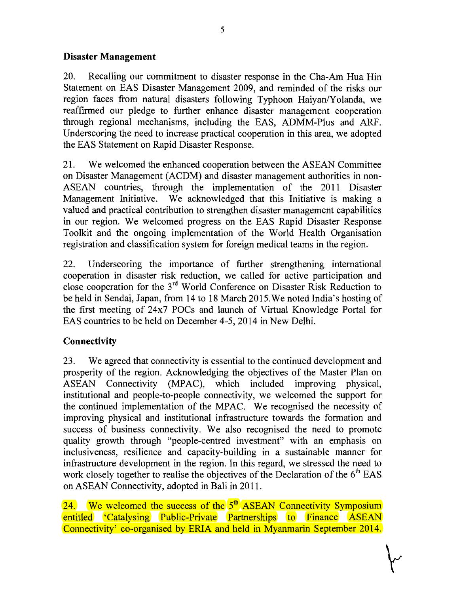## **Disaster Management**

20. Recalling our commitment to disaster response in the Cha-Am Hua Hin Statement on EAS Disaster Management 2009, and reminded of the risks our region faces from natural disasters following Typhoon Haiyan/Yolanda, we reaffirmed our pledge to further enhance disaster management cooperation through regional mechanisms, including the EAS, ADMM-Plus and ARF. Underscoring the need to increase practical cooperation in this area, we adopted the EAS Statement on Rapid Disaster Response.

21. We welcomed the enhanced cooperation between the ASEAN Committee on Disaster Management (ACDM) and disaster management authorities in non-ASEAN countries, through the implementation of the 2011 Disaster Management Initiative. We acknowledged that this Initiative is making a valued and practical contribution to strengthen disaster management capabilities in our region. We welcomed progress on the EAS Rapid Disaster Response Toolkit and the ongoing implementation of the World Health Organisation registration and classification system for foreign medical teams in the region.

22. Underscoring the importance of further strengthening international cooperation in disaster risk reduction, we called for active participation and close cooperation for the 3rd World Conference on Disaster Risk Reduction to be held in Sendai, Japan, from 14 to 18 March 201S.We noted India's hosting of the first meeting of 24x7 POCs and launch of Virtual Knowledge Portal for EAS countries to be held on December 4-5,2014 in New Delhi.

## **Connectivity**

23. We agreed that connectivity is essential to the continued development and prosperity of the region. Acknowledging the objectives of the Master Plan on ASEAN Connectivity (MPAC), which included improving physical, institutional and people-to-people connectivity, we welcomed the support for the continued implementation of the MPAC. We recognised the necessity of improving physical and institutional infrastructure towards the formation and success of business connectivity. We also recognised the need to promote quality growth through "people-centred investment" with an emphasis on inclusiveness, resilience and capacity-building in a sustainable manner for infrastructure development in the region. In this regard, we stressed the need to work closely together to realise the objectives of the Declaration of the  $6<sup>th</sup> EAS$ on ASEAN Connectivity, adopted in Bali in 2011.

24. We welcomed the success of the  $5<sup>th</sup>$  ASEAN Connectivity Symposium entitled 'Catalysing Public-Private Partnerships to Finance ASEAN Connectivity' co-organised by ERIA and held in Myanmarin September 2014.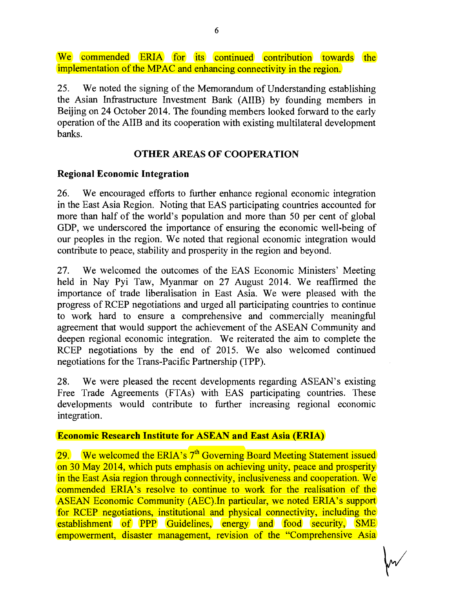We commended ERIA for its continued contribution towards the implementation of the MPAC and enhancing connectivity in the region.

25. We noted the signing of the Memorandum of Understanding establishing the Asian Infrastructure Investment Bank (AIIB) by founding members in Beijing on 24 October 2014. The founding members looked forward to the early operation of the AIIB and its cooperation with existing multilateral development banks.

#### OTHER AREAS OF COOPERATION

#### Regional Economic Integration

26. We encouraged efforts to further enhance regional economic integration in the East Asia Region. Noting that EAS participating countries accounted for more than half of the world's population and more than 50 per cent of global GDP, we underscored the importance of ensuring the economic well-being of our peoples in the region. We noted that regional economic integration would contribute to peace, stability and prosperity in the region and beyond.

27. We welcomed the outcomes of the EAS Economic Ministers' Meeting held in Nay Pyi Taw, Myanmar on 27 August 2014. We reaffirmed the importance of trade liberalisation in East Asia. We were pleased with the progress of RCEP negotiations and urged all participating countries to continue to work hard to ensure a comprehensive and commercially meaningful agreement that would support the achievement of the ASEAN Community and deepen regional economic integration. We reiterated the aim to complete the RCEP negotiations by the end of 2015. We also welcomed continued negotiations for the Trans-Pacific Partnership (TPP).

28. We were pleased the recent developments regarding ASEAN's existing Free Trade Agreements (FTAs) with EAS participating countries. These developments would contribute to further increasing regional economic integration.

#### Economic Research Institute for ASEAN and East Asia (ERIA)

29. We welcomed the ERIA's  $7<sup>th</sup>$  Governing Board Meeting Statement issued on 30 May 2014, which puts emphasis on achieving unity, peace and prosperity in the East Asia region through connectivity, inclusiveness and cooperation. We commended ERIA's resolve to continue to work for the realisation of the ASEAN Economic Community (AEC).In particular, we noted ERIA's support for RCEP negotiations, institutional and physical connectivity, including the establishment of PPP Guidelines, energy and food security, SME empowerment, disaster management, revision of the "Comprehensive Asia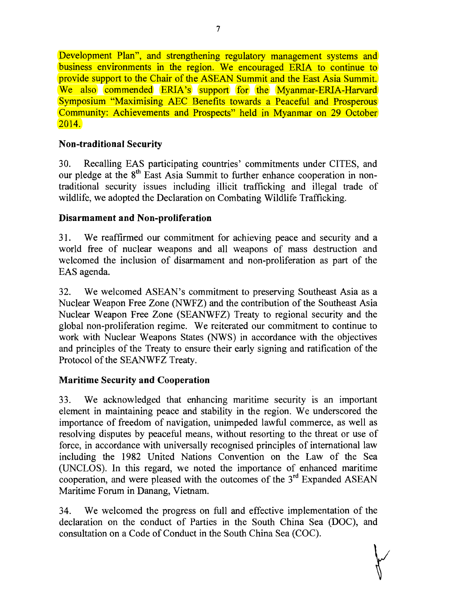Development Plan", and strengthening regulatory management systems and business environments in the region. We encouraged ERIA to continue to provide support to the Chair of the ASEAN Summit and the East Asia Summit. We also commended ERIA's support for the Myanmar-ERIA-Harvard Symposium "Maximising AEC Benefits towards a Peaceful and Prosperous Community: Achievements and Prospects" held in Myanmar on 29 October 2014.

# **Non-traditional Security**

30. Recalling EAS participating countries' commitments under CITES, and our pledge at the 8<sup>th</sup> East Asia Summit to further enhance cooperation in nontraditional security issues including illicit trafficking and illegal trade of wildlife, we adopted the Declaration on Combating Wildlife Trafficking.

## **Disarmament and Non-proliferation**

31. We reaffirmed our commitment for achieving peace and security and a world free of nuclear weapons and all weapons of mass destruction and welcomed the inclusion of disarmament and non-proliferation as part of the EAS agenda.

32. We welcomed ASEAN's commitment to preserving Southeast Asia as a Nuclear Weapon Free Zone (NWFZ) and the contribution of the Southeast Asia Nuclear Weapon Free Zone (SEANWFZ) Treaty to regional security and the global non-proliferation regime. We reiterated our commitment to continue to work with Nuclear Weapons States (NWS) in accordance with the objectives and principles of the Treaty to ensure their early signing and ratification of the Protocol of the SEANWFZ Treaty.

## **Maritime Security and Cooperation**

33. We acknowledged that enhancing maritime security is an important element in maintaining peace and stability in the region. We underscored the importance of freedom of navigation, unimpeded lawful commerce, as well as resolving disputes by peaceful means, without resorting to the threat or use of force, in accordance with universally recognised principles of international law including the 1982 United Nations Convention on the Law of the Sea (UNCLOS). In this regard, we noted the importance of enhanced maritime cooperation, and were pleased with the outcomes of the 3<sup>rd</sup> Expanded ASEAN Maritime Forum in Danang, Vietnam.

34. We welcomed the progress on full and effective implementation of the declaration on the conduct of Parties in the South China Sea (DOC), and consultation on a Code of Conduct in the South China Sea (COC).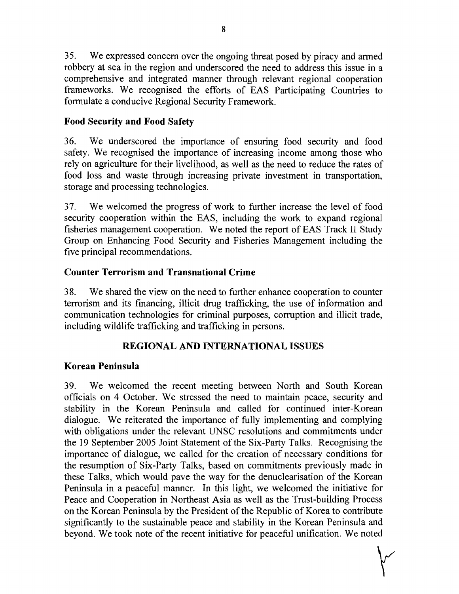35. We expressed concern over the ongoing threat posed by piracy and armed robbery at sea in the region and underscored the need to address this issue in a comprehensive and integrated manner through relevant regional cooperation frameworks. We recognised the efforts of EAS Participating Countries to formulate a conducive Regional Security Framework.

## **Food Security and Food Safety**

36. We underscored the importance of ensuring food security and food safety. We recognised the importance of increasing income among those who rely on agriculture for their livelihood, as well as the need to reduce the rates of food loss and waste through increasing private investment in transportation, storage and processing technologies.

37. We welcomed the progress of work to further increase the level of food security cooperation within the EAS, including the work to expand regional fisheries management cooperation. We noted the report of EAS Track II Study Group on Enhancing Food Security and Fisheries Management including the five principal recommendations.

## **Counter Terrorism and Transnational Crime**

38. We shared the view on the need to further enhance cooperation to counter terrorism and its financing, illicit drug trafficking, the use of information and communication technologies for criminal purposes, corruption and illicit trade, including wildlife trafficking and trafficking in persons.

## **REGIONAL AND INTERNATIONAL ISSUES**

## **Korean Peninsula**

39. We welcomed the recent meeting between North and South Korean officials on 4 October. We stressed the need to maintain peace, security and stability in the Korean Peninsula and called for continued inter-Korean dialogue. We reiterated the importance of fully implementing and complying with obligations under the relevant UNSC resolutions and commitments under the 19 September 2005 Joint Statement of the Six-Party Talks. Recognising the importance of dialogue, we called for the creation of necessary conditions for the resumption of Six-Party Talks, based on commitments previously made in these Talks, which would pave the way for the denuclearisation of the Korean Peninsula in a peaceful manner. In this light, we welcomed the initiative for Peace and Cooperation in Northeast Asia as well as the Trust-building Process on the Korean Peninsula by the President of the Republic of Korea to contribute significantly to the sustainable peace and stability in the Korean Peninsula and beyond. We took note of the recent initiative for peaceful unification. We noted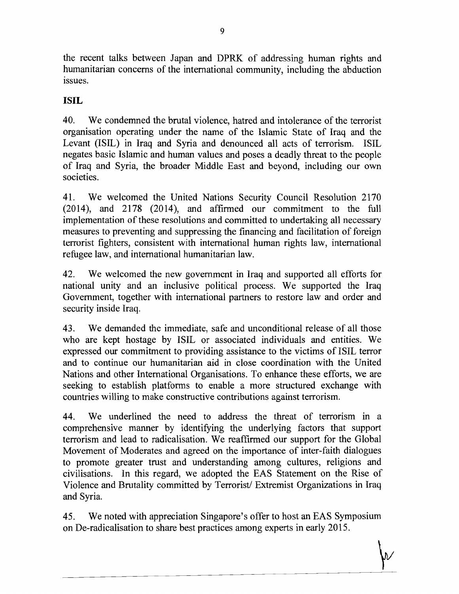the recent talks between Japan and DPRK of addressing human rights and humanitarian concerns of the international community, including the abduction issues.

# **ISIL**

40. We condemned the brutal violence, hatred and intolerance of the terrorist organisation operating under the name of the Islamic State of Iraq and the Levant (ISIL) in Iraq and Syria and denounced all acts of terrorism. ISIL negates basic Islamic and human values and poses a deadly threat to the people of Iraq and Syria, the broader Middle East and beyond, including our own societies.

41. We welcomed the United Nations Security Council Resolution 2170 (2014), and 2178 (2014), and affirmed our commitment to the full implementation of these resolutions and committed to undertaking all necessary measures to preventing and suppressing the financing and facilitation of foreign terrorist fighters, consistent with international human rights law, international refugee law, and international humanitarian law.

42. We welcomed the new government in Iraq and supported all efforts for national unity and an inclusive political process. We supported the Iraq Government, together with international partners to restore law and order and security inside Iraq.

43. We demanded the immediate, safe and unconditional release of all those who are kept hostage by ISIL or associated individuals and entities. We expressed our commitment to providing assistance to the victims of ISIL terror and to continue our humanitarian aid in close coordination with the United Nations and other International Organisations. To enhance these efforts, we are seeking to establish platforms to enable a more structured exchange with countries willing to make constructive contributions against terrorism.

44. We underlined the need to address the threat of terrorism in a comprehensive manner by identifying the underlying factors that support terrorism and lead to radicalisation. We reaffirmed our support for the Global Movement of Moderates and agreed on the importance of inter-faith dialogues to promote greater trust and understanding among cultures, religions and civilisations. In this regard, we adopted the EAS Statement on the Rise of Violence and Brutality committed by Terrorist/ Extremist Organizations in Iraq and Syria.

45. We noted with appreciation Singapore's offer to host an EAS Symposium on De-radicalisation to share best practices among experts in early 2015.